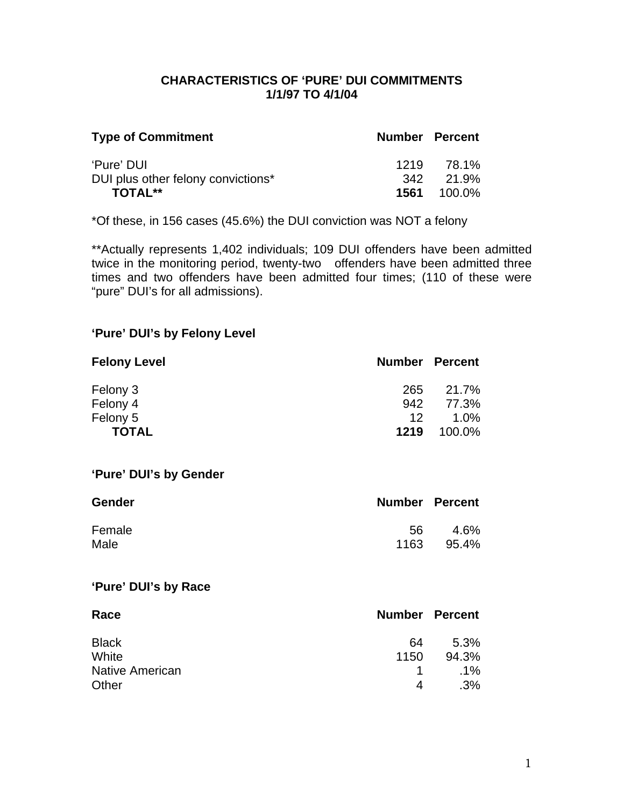## **CHARACTERISTICS OF 'PURE' DUI COMMITMENTS 1/1/97 TO 4/1/04**

| <b>Type of Commitment</b>          | <b>Number Percent</b> |                    |
|------------------------------------|-----------------------|--------------------|
| 'Pure' DUI                         | 1219                  | 78.1%              |
| DUI plus other felony convictions* |                       | 342 21.9%          |
| <b>TOTAL**</b>                     |                       | <b>1561</b> 100.0% |

\*Of these, in 156 cases (45.6%) the DUI conviction was NOT a felony

\*\*Actually represents 1,402 individuals; 109 DUI offenders have been admitted twice in the monitoring period, twenty-two offenders have been admitted three times and two offenders have been admitted four times; (110 of these were "pure" DUI's for all admissions).

## **'Pure' DUI's by Felony Level**

| <b>Felony Level</b> | <b>Number Percent</b> |        |
|---------------------|-----------------------|--------|
| Felony 3            | 265                   | 21.7%  |
| Felony 4            | 942                   | 77.3%  |
| Felony 5            | 12.                   | 1.0%   |
| <b>TOTAL</b>        | 1219                  | 100.0% |

#### **'Pure' DUI's by Gender**

| <b>Gender</b> | <b>Number Percent</b> |       |
|---------------|-----------------------|-------|
| Female        | 56.                   | 4.6%  |
| Male          | 1163                  | 95.4% |

### **'Pure' DUI's by Race**

| Race                   | <b>Number Percent</b> |        |
|------------------------|-----------------------|--------|
| <b>Black</b>           | 64                    | 5.3%   |
| White                  | 1150                  | 94.3%  |
| <b>Native American</b> |                       | $.1\%$ |
| Other                  | 4                     | $.3\%$ |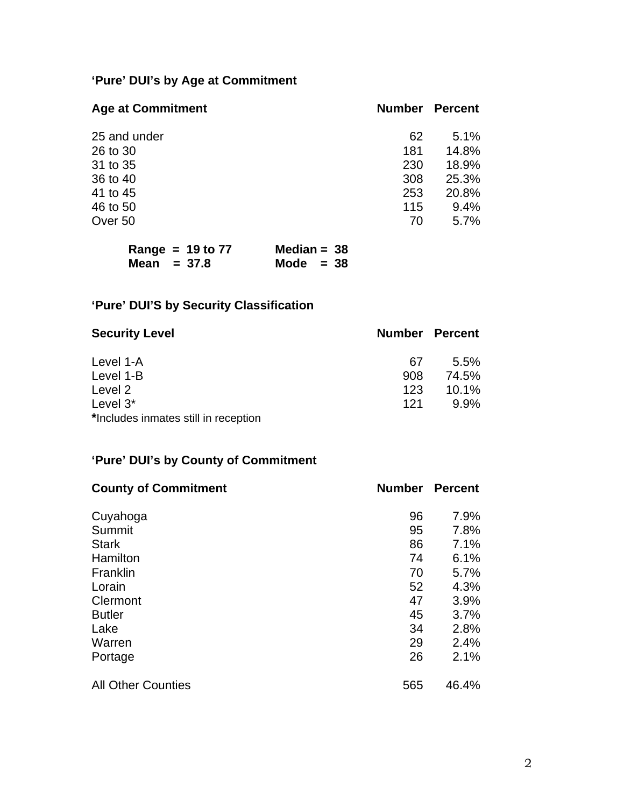# **'Pure' DUI's by Age at Commitment**

| <b>Age at Commitment</b> | <b>Number</b> | <b>Percent</b> |
|--------------------------|---------------|----------------|
| 25 and under             | 62            | 5.1%           |
| 26 to 30                 | 181           | 14.8%          |
| 31 to 35                 | 230           | 18.9%          |
| 36 to 40                 | 308           | 25.3%          |
| 41 to 45                 | 253           | 20.8%          |
| 46 to 50                 | 115           | 9.4%           |
| Over 50                  | 70            | 5.7%           |

| Range = $19$ to $77$ | Median = $38$ |
|----------------------|---------------|
| Mean $= 37.8$        | Mode $= 38$   |

# **'Pure' DUI'S by Security Classification**

| <b>Security Level</b>                | <b>Number Percent</b> |          |
|--------------------------------------|-----------------------|----------|
| Level 1-A                            | 67                    | $5.5\%$  |
| Level 1-B                            | 908                   | 74.5%    |
| Level 2                              | 123                   | $10.1\%$ |
| Level $3^*$                          | 121                   | $9.9\%$  |
| *Includes inmates still in reception |                       |          |

# **'Pure' DUI's by County of Commitment**

| <b>County of Commitment</b> | <b>Number</b> | <b>Percent</b> |
|-----------------------------|---------------|----------------|
| Cuyahoga                    | 96            | 7.9%           |
| Summit                      | 95            | 7.8%           |
| <b>Stark</b>                | 86            | 7.1%           |
| Hamilton                    | 74            | 6.1%           |
| Franklin                    | 70            | 5.7%           |
| Lorain                      | 52            | 4.3%           |
| Clermont                    | 47            | 3.9%           |
| <b>Butler</b>               | 45            | 3.7%           |
| Lake                        | 34            | 2.8%           |
| Warren                      | 29            | 2.4%           |
| Portage                     | 26            | 2.1%           |
| <b>All Other Counties</b>   | 565           | 46.4%          |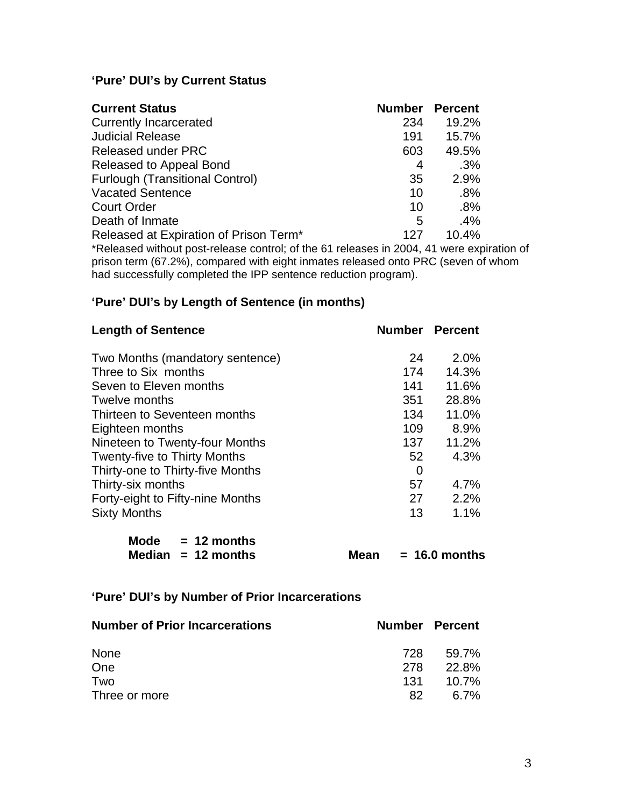# **'Pure' DUI's by Current Status**

| <b>Current Status</b>                                                                       | <b>Number</b> | <b>Percent</b> |
|---------------------------------------------------------------------------------------------|---------------|----------------|
| <b>Currently Incarcerated</b>                                                               | 234           | 19.2%          |
| <b>Judicial Release</b>                                                                     | 191           | 15.7%          |
| Released under PRC                                                                          | 603           | 49.5%          |
| Released to Appeal Bond                                                                     | 4             | .3%            |
| <b>Furlough (Transitional Control)</b>                                                      | 35            | 2.9%           |
| <b>Vacated Sentence</b>                                                                     | 10            | .8%            |
| <b>Court Order</b>                                                                          | 10            | .8%            |
| Death of Inmate                                                                             | 5             | $.4\%$         |
| Released at Expiration of Prison Term*                                                      | 127           | 10.4%          |
| $\star$ Delessed without post release control: of the C4 releases in 0004 A4 ware evolution |               |                |

\*Released without post-release control; of the 61 releases in 2004, 41 were expiration of prison term (67.2%), compared with eight inmates released onto PRC (seven of whom had successfully completed the IPP sentence reduction program).

### **'Pure' DUI's by Length of Sentence (in months)**

| <b>Number Percent</b> |       |
|-----------------------|-------|
| 24                    | 2.0%  |
| 174                   | 14.3% |
| 141                   | 11.6% |
| 351                   | 28.8% |
| 134                   | 11.0% |
| 109                   | 8.9%  |
| 137                   | 11.2% |
| 52                    | 4.3%  |
| 0                     |       |
| 57                    | 4.7%  |
| 27                    | 2.2%  |
| 13                    | 1.1%  |
|                       |       |

| <b>Mode</b> | $= 12$ months        |
|-------------|----------------------|
|             | Median $= 12$ months |

**Mean = 16.0 months** 

# **'Pure' DUI's by Number of Prior Incarcerations**

| <b>Number of Prior Incarcerations</b> |     | <b>Number Percent</b> |
|---------------------------------------|-----|-----------------------|
| None                                  | 728 | 59.7%                 |
| One                                   | 278 | 22.8%                 |
| Two                                   | 131 | $10.7\%$              |
| Three or more                         | 82  | 6.7%                  |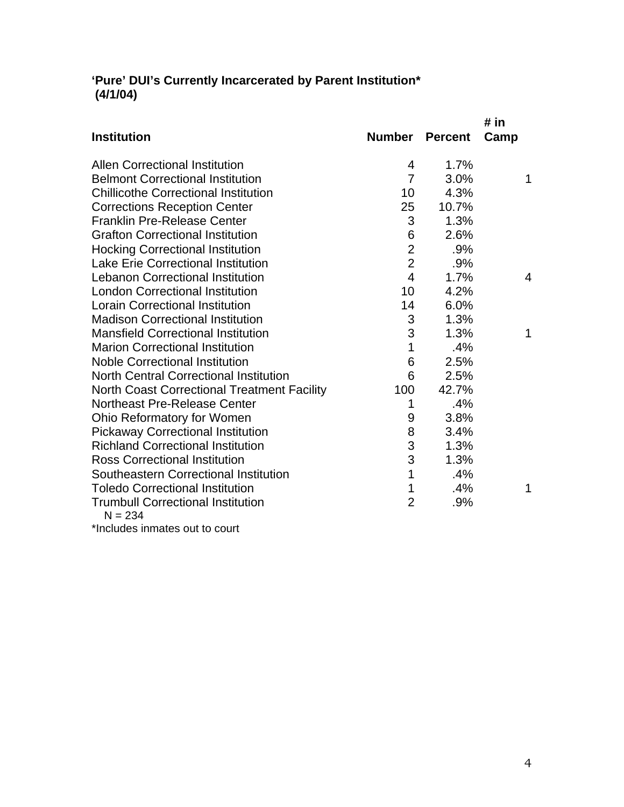## **'Pure' DUI's Currently Incarcerated by Parent Institution\* (4/1/04)**

|                                                       |                |                | # in |
|-------------------------------------------------------|----------------|----------------|------|
| <b>Institution</b>                                    | Number         | <b>Percent</b> | Camp |
| <b>Allen Correctional Institution</b>                 | 4              | 1.7%           |      |
| <b>Belmont Correctional Institution</b>               | $\overline{7}$ | 3.0%           | 1    |
| <b>Chillicothe Correctional Institution</b>           | 10             | 4.3%           |      |
| <b>Corrections Reception Center</b>                   | 25             | 10.7%          |      |
| <b>Franklin Pre-Release Center</b>                    | 3              | 1.3%           |      |
| <b>Grafton Correctional Institution</b>               | 6              | 2.6%           |      |
| <b>Hocking Correctional Institution</b>               | $\overline{2}$ | .9%            |      |
| <b>Lake Erie Correctional Institution</b>             | $\overline{2}$ | .9%            |      |
| <b>Lebanon Correctional Institution</b>               | $\overline{4}$ | 1.7%           | 4    |
| <b>London Correctional Institution</b>                | 10             | 4.2%           |      |
| <b>Lorain Correctional Institution</b>                | 14             | 6.0%           |      |
| <b>Madison Correctional Institution</b>               | 3              | 1.3%           |      |
| <b>Mansfield Correctional Institution</b>             | 3              | 1.3%           | 1    |
| <b>Marion Correctional Institution</b>                | 1              | .4%            |      |
| <b>Noble Correctional Institution</b>                 | 6              | 2.5%           |      |
| <b>North Central Correctional Institution</b>         | 6              | 2.5%           |      |
| <b>North Coast Correctional Treatment Facility</b>    | 100            | 42.7%          |      |
| <b>Northeast Pre-Release Center</b>                   | 1              | .4%            |      |
| Ohio Reformatory for Women                            | 9              | 3.8%           |      |
| <b>Pickaway Correctional Institution</b>              | 8              | 3.4%           |      |
| <b>Richland Correctional Institution</b>              | 3              | 1.3%           |      |
| <b>Ross Correctional Institution</b>                  | 3              | 1.3%           |      |
| Southeastern Correctional Institution                 | 1              | .4%            |      |
| <b>Toledo Correctional Institution</b>                | 1              | .4%            | 1    |
| <b>Trumbull Correctional Institution</b><br>$N = 234$ | $\overline{2}$ | .9%            |      |
|                                                       |                |                |      |

\*Includes inmates out to court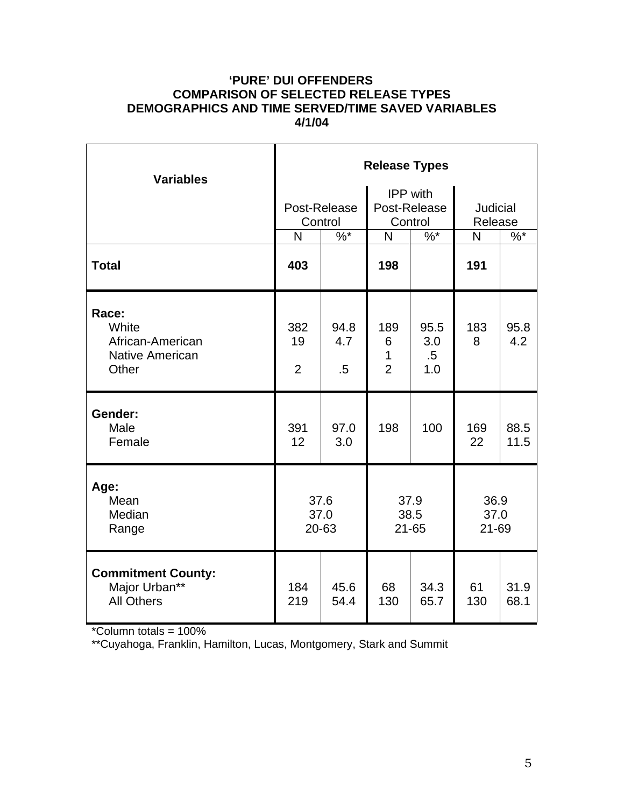## **'PURE' DUI OFFENDERS COMPARISON OF SELECTED RELEASE TYPES DEMOGRAPHICS AND TIME SERVED/TIME SAVED VARIABLES 4/1/04**

| <b>Variables</b>                                                      | <b>Release Types</b>        |                         |                                            |                              |                            |              |  |
|-----------------------------------------------------------------------|-----------------------------|-------------------------|--------------------------------------------|------------------------------|----------------------------|--------------|--|
|                                                                       |                             | Post-Release<br>Control | <b>IPP</b> with<br>Post-Release<br>Control |                              | <b>Judicial</b><br>Release |              |  |
|                                                                       | N                           | $\frac{9}{6}$           | N                                          | $%^*$                        | $\mathsf{N}$               | $%^*$        |  |
| <b>Total</b>                                                          | 403                         |                         | 198                                        |                              | 191                        |              |  |
| Race:<br>White<br>African-American<br><b>Native American</b><br>Other | 382<br>19<br>$\overline{2}$ | 94.8<br>4.7<br>.5       | 189<br>6<br>1<br>$\overline{2}$            | 95.5<br>3.0<br>$.5\,$<br>1.0 | 183<br>8                   | 95.8<br>4.2  |  |
| Gender:<br>Male<br>Female                                             | 391<br>12                   | 97.0<br>3.0             | 198                                        | 100                          | 169<br>22                  | 88.5<br>11.5 |  |
| Age:<br>Mean<br>Median<br>Range                                       | 37.6<br>37.0<br>20-63       |                         | 37.9<br>38.5<br>$21 - 65$                  |                              | 36.9<br>37.0<br>21-69      |              |  |
| <b>Commitment County:</b><br>Major Urban**<br><b>All Others</b>       | 184<br>219                  | 45.6<br>54.4            | 68<br>130                                  | 34.3<br>65.7                 | 61<br>130                  | 31.9<br>68.1 |  |

\*Column totals = 100%

\*\*Cuyahoga, Franklin, Hamilton, Lucas, Montgomery, Stark and Summit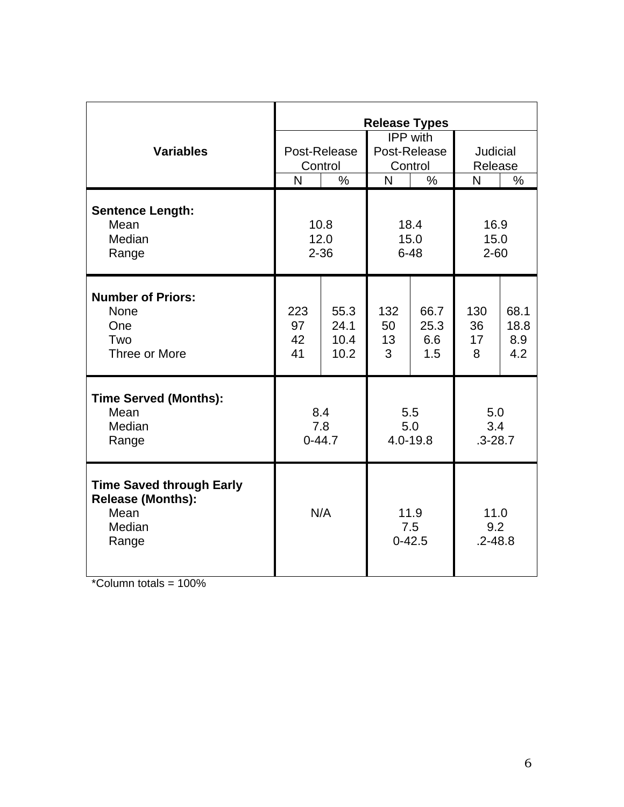|                                                                                        | <b>Release Types</b>     |                              |                                            |                            |                            |                            |
|----------------------------------------------------------------------------------------|--------------------------|------------------------------|--------------------------------------------|----------------------------|----------------------------|----------------------------|
| <b>Variables</b>                                                                       | Post-Release<br>Control  |                              | <b>IPP</b> with<br>Post-Release<br>Control |                            | Judicial<br>Release        |                            |
|                                                                                        | $\overline{\mathsf{N}}$  | $\frac{0}{0}$                | N                                          | $\frac{0}{0}$              | N                          | $\%$                       |
| <b>Sentence Length:</b><br>Mean<br>Median<br>Range                                     | 10.8<br>12.0<br>$2 - 36$ |                              | 18.4<br>15.0<br>$6 - 48$                   |                            | 16.9<br>15.0<br>$2 - 60$   |                            |
| <b>Number of Priors:</b><br><b>None</b><br>One<br>Two<br>Three or More                 | 223<br>97<br>42<br>41    | 55.3<br>24.1<br>10.4<br>10.2 | 132<br>50<br>13<br>3                       | 66.7<br>25.3<br>6.6<br>1.5 | 130<br>36<br>17<br>8       | 68.1<br>18.8<br>8.9<br>4.2 |
| <b>Time Served (Months):</b><br>Mean<br>Median<br>Range                                | 8.4<br>7.8<br>$0 - 44.7$ |                              | 5.5<br>5.0<br>4.0-19.8                     |                            | 5.0<br>3.4<br>$.3 - 28.7$  |                            |
| <b>Time Saved through Early</b><br><b>Release (Months):</b><br>Mean<br>Median<br>Range | N/A                      |                              | 11.9<br>7.5<br>$0 - 42.5$                  |                            | 11.0<br>9.2<br>$.2 - 48.8$ |                            |

 $*$ Column totals = 100%